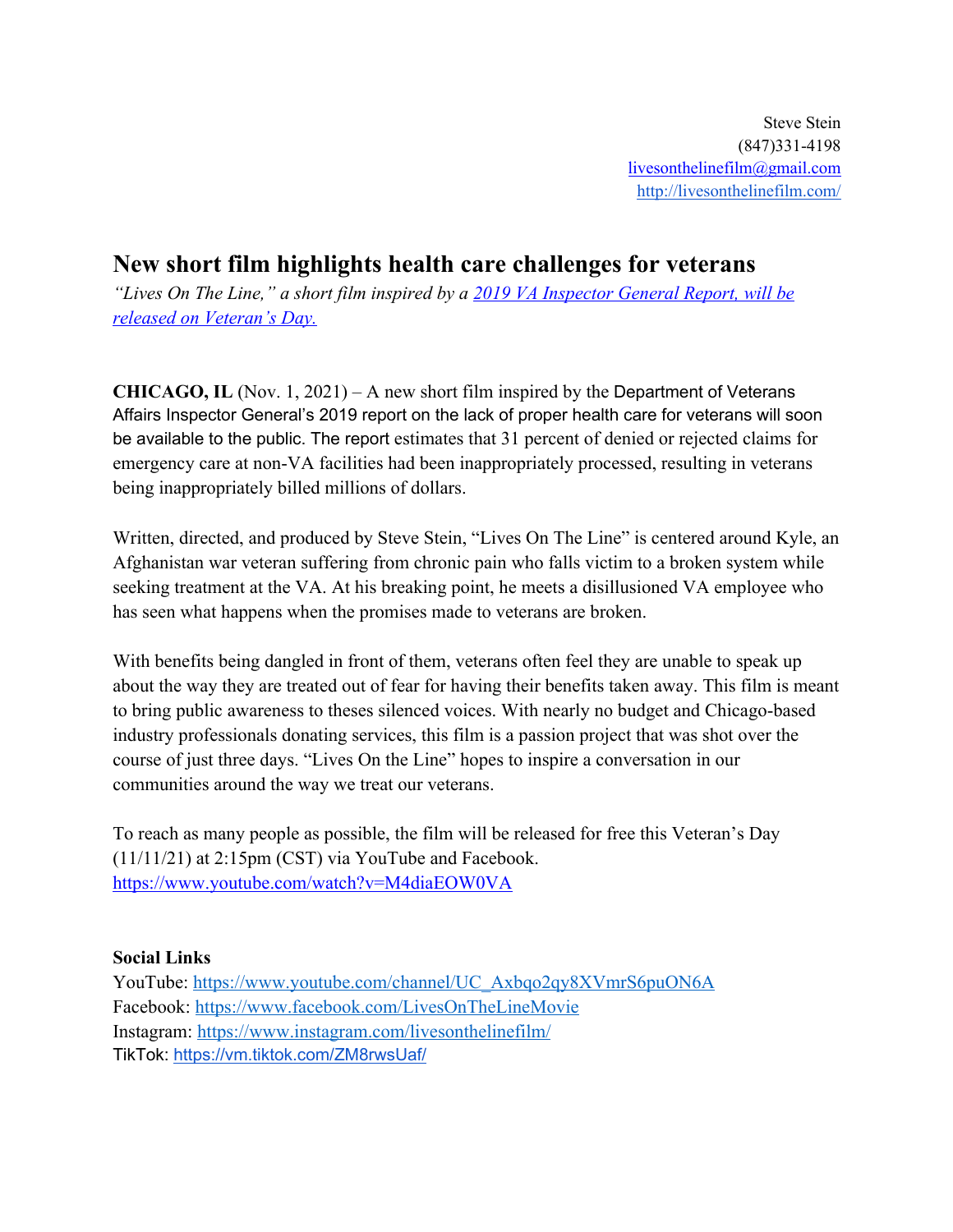## **New short film highlights health care challenges for veterans**

*"Lives On The Line," a short film inspired by a 2019 VA Inspector General Report, will be released on Veteran's Day.*

**CHICAGO, IL** (Nov. 1, 2021) – A new short film inspired by the Department of Veterans Affairs Inspector General's 2019 report on the lack of proper health care for veterans will soon be available to the public. The report estimates that 31 percent of denied or rejected claims for emergency care at non-VA facilities had been inappropriately processed, resulting in veterans being inappropriately billed millions of dollars.

Written, directed, and produced by Steve Stein, "Lives On The Line" is centered around Kyle, an Afghanistan war veteran suffering from chronic pain who falls victim to a broken system while seeking treatment at the VA. At his breaking point, he meets a disillusioned VA employee who has seen what happens when the promises made to veterans are broken.

With benefits being dangled in front of them, veterans often feel they are unable to speak up about the way they are treated out of fear for having their benefits taken away. This film is meant to bring public awareness to theses silenced voices. With nearly no budget and Chicago-based industry professionals donating services, this film is a passion project that was shot over the course of just three days. "Lives On the Line" hopes to inspire a conversation in our communities around the way we treat our veterans.

To reach as many people as possible, the film will be released for free this Veteran's Day (11/11/21) at 2:15pm (CST) via YouTube and Facebook. https://www.youtube.com/watch?v=M4diaEOW0VA

## **Social Links**

YouTube: https://www.youtube.com/channel/UC\_Axbqo2qy8XVmrS6puON6A Facebook: https://www.facebook.com/LivesOnTheLineMovie Instagram: https://www.instagram.com/livesonthelinefilm/ TikTok: https://vm.tiktok.com/ZM8rwsUaf/